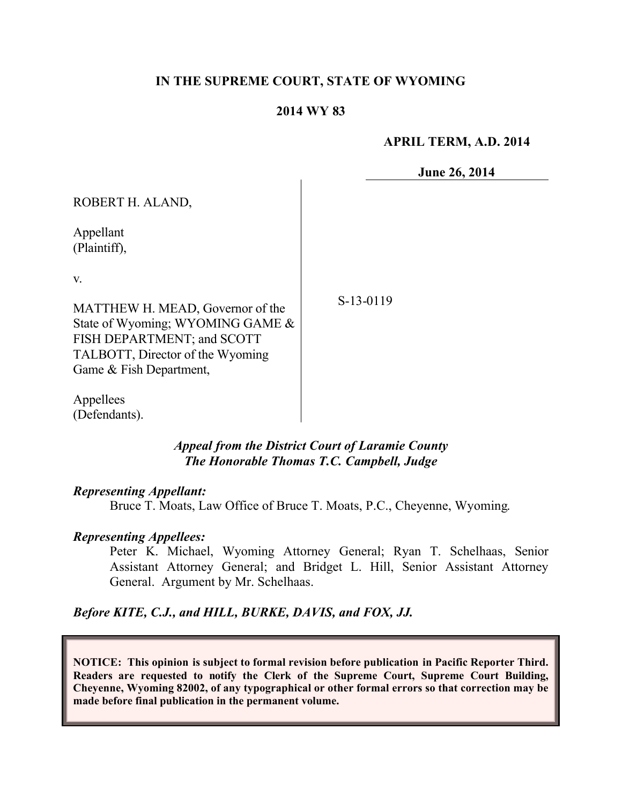#### **IN THE SUPREME COURT, STATE OF WYOMING**

#### **2014 WY 83**

 $\mathbf{I}$ 

#### **APRIL TERM, A.D. 2014**

**June 26, 2014**

| ROBERT H. ALAND,                                                                                                                                                        |           |
|-------------------------------------------------------------------------------------------------------------------------------------------------------------------------|-----------|
| Appellant<br>(Plaintiff),                                                                                                                                               |           |
| V.<br>MATTHEW H. MEAD, Governor of the<br>State of Wyoming; WYOMING GAME &<br>FISH DEPARTMENT; and SCOTT<br>TALBOTT, Director of the Wyoming<br>Game & Fish Department, | S-13-0119 |

Appellees (Defendants).

#### *Appeal from the District Court of Laramie County The Honorable Thomas T.C. Campbell, Judge*

#### *Representing Appellant:*

Bruce T. Moats, Law Office of Bruce T. Moats, P.C., Cheyenne, Wyoming.

#### *Representing Appellees:*

Peter K. Michael, Wyoming Attorney General; Ryan T. Schelhaas, Senior Assistant Attorney General; and Bridget L. Hill, Senior Assistant Attorney General. Argument by Mr. Schelhaas.

*Before KITE, C.J., and HILL, BURKE, DAVIS, and FOX, JJ.*

**NOTICE: This opinion is subject to formal revision before publication in Pacific Reporter Third. Readers are requested to notify the Clerk of the Supreme Court, Supreme Court Building, Cheyenne, Wyoming 82002, of any typographical or other formal errors so that correction may be made before final publication in the permanent volume.**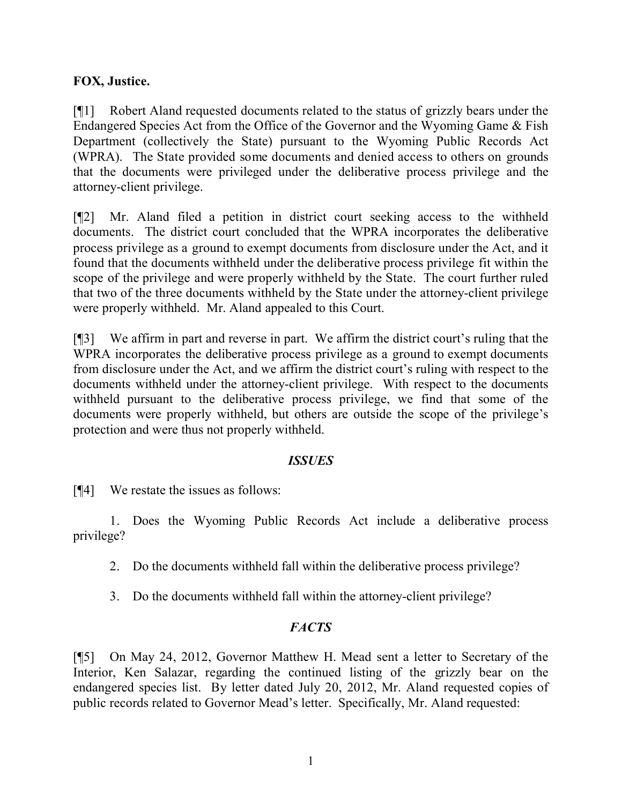## **FOX, Justice.**

[¶1] Robert Aland requested documents related to the status of grizzly bears under the Endangered Species Act from the Office of the Governor and the Wyoming Game & Fish Department (collectively the State) pursuant to the Wyoming Public Records Act (WPRA). The State provided some documents and denied access to others on grounds that the documents were privileged under the deliberative process privilege and the attorney-client privilege.

[¶2] Mr. Aland filed a petition in district court seeking access to the withheld documents. The district court concluded that the WPRA incorporates the deliberative process privilege as a ground to exempt documents from disclosure under the Act, and it found that the documents withheld under the deliberative process privilege fit within the scope of the privilege and were properly withheld by the State. The court further ruled that two of the three documents withheld by the State under the attorney-client privilege were properly withheld. Mr. Aland appealed to this Court.

[¶3] We affirm in part and reverse in part. We affirm the district court's ruling that the WPRA incorporates the deliberative process privilege as a ground to exempt documents from disclosure under the Act, and we affirm the district court's ruling with respect to the documents withheld under the attorney-client privilege. With respect to the documents withheld pursuant to the deliberative process privilege, we find that some of the documents were properly withheld, but others are outside the scope of the privilege's protection and were thus not properly withheld.

## *ISSUES*

[¶4] We restate the issues as follows:

1. Does the Wyoming Public Records Act include a deliberative process privilege?

- 2. Do the documents withheld fall within the deliberative process privilege?
- 3. Do the documents withheld fall within the attorney-client privilege?

# *FACTS*

[¶5] On May 24, 2012, Governor Matthew H. Mead sent a letter to Secretary of the Interior, Ken Salazar, regarding the continued listing of the grizzly bear on the endangered species list. By letter dated July 20, 2012, Mr. Aland requested copies of public records related to Governor Mead's letter. Specifically, Mr. Aland requested: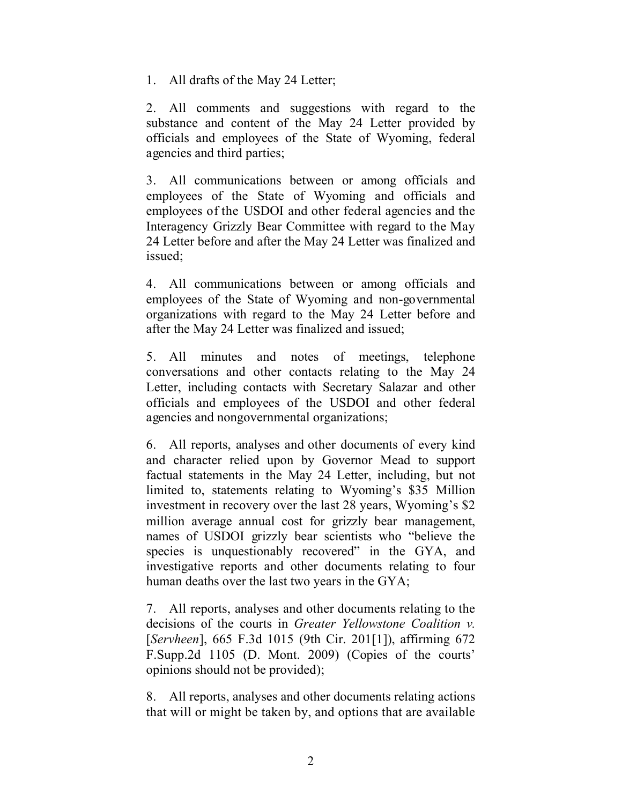1. All drafts of the May 24 Letter;

2. All comments and suggestions with regard to the substance and content of the May 24 Letter provided by officials and employees of the State of Wyoming, federal agencies and third parties;

3. All communications between or among officials and employees of the State of Wyoming and officials and employees of the USDOI and other federal agencies and the Interagency Grizzly Bear Committee with regard to the May 24 Letter before and after the May 24 Letter was finalized and issued;

4. All communications between or among officials and employees of the State of Wyoming and non-governmental organizations with regard to the May 24 Letter before and after the May 24 Letter was finalized and issued;

5. All minutes and notes of meetings, telephone conversations and other contacts relating to the May 24 Letter, including contacts with Secretary Salazar and other officials and employees of the USDOI and other federal agencies and nongovernmental organizations;

6. All reports, analyses and other documents of every kind and character relied upon by Governor Mead to support factual statements in the May 24 Letter, including, but not limited to, statements relating to Wyoming's \$35 Million investment in recovery over the last 28 years, Wyoming's \$2 million average annual cost for grizzly bear management, names of USDOI grizzly bear scientists who "believe the species is unquestionably recovered" in the GYA, and investigative reports and other documents relating to four human deaths over the last two years in the GYA;

7. All reports, analyses and other documents relating to the decisions of the courts in *Greater Yellowstone Coalition v.*  [*Servheen*], 665 F.3d 1015 (9th Cir. 201[1]), affirming 672 F.Supp.2d 1105 (D. Mont. 2009) (Copies of the courts' opinions should not be provided);

8. All reports, analyses and other documents relating actions that will or might be taken by, and options that are available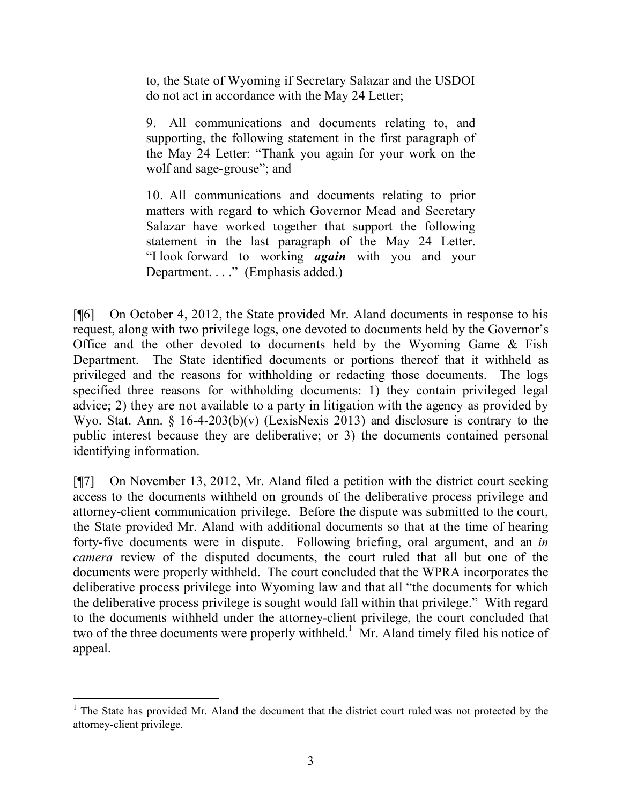to, the State of Wyoming if Secretary Salazar and the USDOI do not act in accordance with the May 24 Letter;

9. All communications and documents relating to, and supporting, the following statement in the first paragraph of the May 24 Letter: "Thank you again for your work on the wolf and sage-grouse"; and

10. All communications and documents relating to prior matters with regard to which Governor Mead and Secretary Salazar have worked together that support the following statement in the last paragraph of the May 24 Letter. "I look forward to working *again* with you and your Department. . . ." (Emphasis added.)

[¶6] On October 4, 2012, the State provided Mr. Aland documents in response to his request, along with two privilege logs, one devoted to documents held by the Governor's Office and the other devoted to documents held by the Wyoming Game & Fish Department. The State identified documents or portions thereof that it withheld as privileged and the reasons for withholding or redacting those documents. The logs specified three reasons for withholding documents: 1) they contain privileged legal advice; 2) they are not available to a party in litigation with the agency as provided by Wyo. Stat. Ann. § 16-4-203(b)(v) (LexisNexis 2013) and disclosure is contrary to the public interest because they are deliberative; or 3) the documents contained personal identifying information.

[¶7] On November 13, 2012, Mr. Aland filed a petition with the district court seeking access to the documents withheld on grounds of the deliberative process privilege and attorney-client communication privilege. Before the dispute was submitted to the court, the State provided Mr. Aland with additional documents so that at the time of hearing forty-five documents were in dispute. Following briefing, oral argument, and an *in camera* review of the disputed documents, the court ruled that all but one of the documents were properly withheld. The court concluded that the WPRA incorporates the deliberative process privilege into Wyoming law and that all "the documents for which the deliberative process privilege is sought would fall within that privilege." With regard to the documents withheld under the attorney-client privilege, the court concluded that two of the three documents were properly withheld.<sup>1</sup> Mr. Aland timely filed his notice of appeal.

  $1$  The State has provided Mr. Aland the document that the district court ruled was not protected by the attorney-client privilege.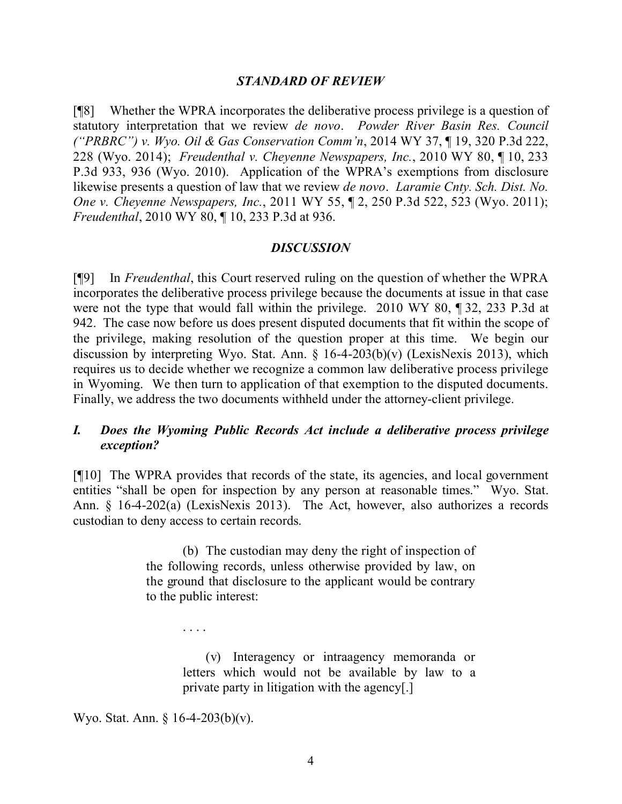#### *STANDARD OF REVIEW*

[¶8] Whether the WPRA incorporates the deliberative process privilege is a question of statutory interpretation that we review *de novo*. *Powder River Basin Res. Council ("PRBRC") v. Wyo. Oil & Gas Conservation Comm'n*, 2014 WY 37, ¶ 19, 320 P.3d 222, 228 (Wyo. 2014); *Freudenthal v. Cheyenne Newspapers, Inc.*, 2010 WY 80, ¶ 10, 233 P.3d 933, 936 (Wyo. 2010). Application of the WPRA's exemptions from disclosure likewise presents a question of law that we review *de novo*. *Laramie Cnty. Sch. Dist. No. One v. Cheyenne Newspapers, Inc.*, 2011 WY 55, ¶ 2, 250 P.3d 522, 523 (Wyo. 2011); *Freudenthal*, 2010 WY 80, ¶ 10, 233 P.3d at 936.

#### *DISCUSSION*

[¶9] In *Freudenthal*, this Court reserved ruling on the question of whether the WPRA incorporates the deliberative process privilege because the documents at issue in that case were not the type that would fall within the privilege. 2010 WY 80, ¶ 32, 233 P.3d at 942. The case now before us does present disputed documents that fit within the scope of the privilege, making resolution of the question proper at this time. We begin our discussion by interpreting Wyo. Stat. Ann.  $\S$  16-4-203(b)(v) (LexisNexis 2013), which requires us to decide whether we recognize a common law deliberative process privilege in Wyoming. We then turn to application of that exemption to the disputed documents. Finally, we address the two documents withheld under the attorney-client privilege.

## *I. Does the Wyoming Public Records Act include a deliberative process privilege exception?*

[¶10] The WPRA provides that records of the state, its agencies, and local government entities "shall be open for inspection by any person at reasonable times." Wyo. Stat. Ann. § 16-4-202(a) (LexisNexis 2013). The Act, however, also authorizes a records custodian to deny access to certain records.

> (b) The custodian may deny the right of inspection of the following records, unless otherwise provided by law, on the ground that disclosure to the applicant would be contrary to the public interest:

> > (v) Interagency or intraagency memoranda or letters which would not be available by law to a private party in litigation with the agency[.]

Wyo. Stat. Ann. § 16-4-203(b)(v).

. . . .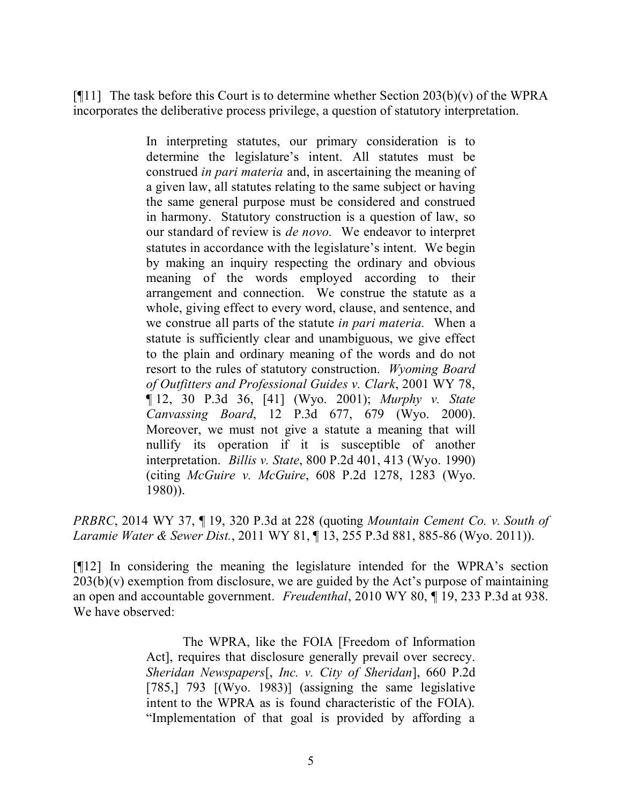[ $[$ [11] The task before this Court is to determine whether Section 203(b)(v) of the WPRA incorporates the deliberative process privilege, a question of statutory interpretation.

> In interpreting statutes, our primary consideration is to determine the legislature's intent. All statutes must be construed *in pari materia* and, in ascertaining the meaning of a given law, all statutes relating to the same subject or having the same general purpose must be considered and construed in harmony. Statutory construction is a question of law, so our standard of review is *de novo.* We endeavor to interpret statutes in accordance with the legislature's intent. We begin by making an inquiry respecting the ordinary and obvious meaning of the words employed according to their arrangement and connection. We construe the statute as a whole, giving effect to every word, clause, and sentence, and we construe all parts of the statute *in pari materia.* When a statute is sufficiently clear and unambiguous, we give effect to the plain and ordinary meaning of the words and do not resort to the rules of statutory construction. *Wyoming Board of Outfitters and Professional Guides v. Clark*, 2001 WY 78, ¶ 12, 30 P.3d 36, [41] (Wyo. 2001); *Murphy v. State Canvassing Board*, 12 P.3d 677, 679 (Wyo. 2000). Moreover, we must not give a statute a meaning that will nullify its operation if it is susceptible of another interpretation. *Billis v. State*, 800 P.2d 401, 413 (Wyo. 1990) (citing *McGuire v. McGuire*, 608 P.2d 1278, 1283 (Wyo. 1980)).

*PRBRC*, 2014 WY 37, ¶ 19, 320 P.3d at 228 (quoting *Mountain Cement Co. v. South of Laramie Water & Sewer Dist.*, 2011 WY 81, ¶ 13, 255 P.3d 881, 885-86 (Wyo. 2011)).

[¶12] In considering the meaning the legislature intended for the WPRA's section  $203(b)(v)$  exemption from disclosure, we are guided by the Act's purpose of maintaining an open and accountable government. *Freudenthal*, 2010 WY 80, ¶ 19, 233 P.3d at 938. We have observed:

> The WPRA, like the FOIA [Freedom of Information Act], requires that disclosure generally prevail over secrecy. *Sheridan Newspapers*[, *Inc. v. City of Sheridan*], 660 P.2d [785,] 793 [(Wyo. 1983)] (assigning the same legislative intent to the WPRA as is found characteristic of the FOIA). "Implementation of that goal is provided by affording a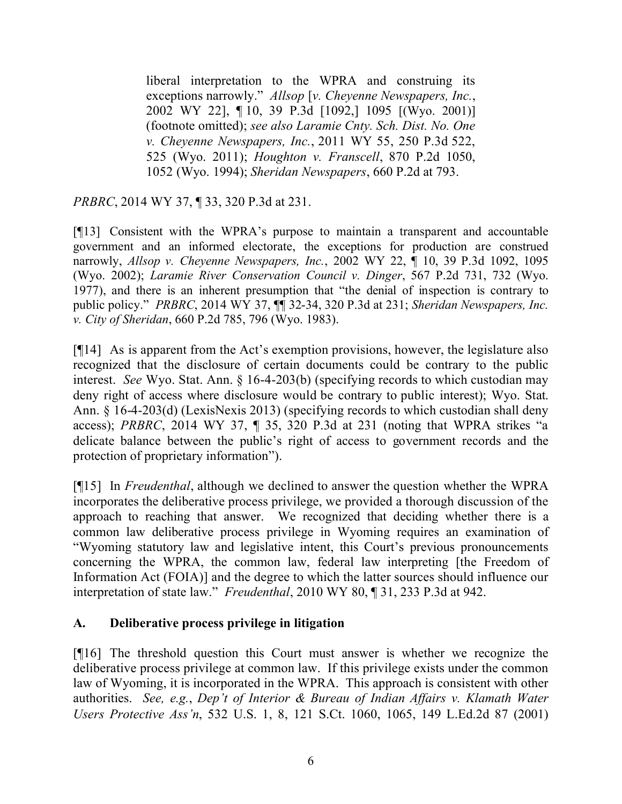liberal interpretation to the WPRA and construing its exceptions narrowly." *Allsop* [*v. Cheyenne Newspapers, Inc.*, 2002 WY 22], ¶ 10, 39 P.3d [1092,] 1095 [(Wyo. 2001)] (footnote omitted); *see also Laramie Cnty. Sch. Dist. No. One v. Cheyenne Newspapers, Inc.*, 2011 WY 55, 250 P.3d 522, 525 (Wyo. 2011); *Houghton v. Franscell*, 870 P.2d 1050, 1052 (Wyo. 1994); *Sheridan Newspapers*, 660 P.2d at 793.

*PRBRC*, 2014 WY 37, ¶ 33, 320 P.3d at 231.

[¶13] Consistent with the WPRA's purpose to maintain a transparent and accountable government and an informed electorate, the exceptions for production are construed narrowly, *Allsop v. Cheyenne Newspapers, Inc.*, 2002 WY 22, ¶ 10, 39 P.3d 1092, 1095 (Wyo. 2002); *Laramie River Conservation Council v. Dinger*, 567 P.2d 731, 732 (Wyo. 1977), and there is an inherent presumption that "the denial of inspection is contrary to public policy." *PRBRC*, 2014 WY 37, ¶¶ 32-34, 320 P.3d at 231; *Sheridan Newspapers, Inc. v. City of Sheridan*, 660 P.2d 785, 796 (Wyo. 1983).

[¶14] As is apparent from the Act's exemption provisions, however, the legislature also recognized that the disclosure of certain documents could be contrary to the public interest. *See* Wyo. Stat. Ann. § 16-4-203(b) (specifying records to which custodian may deny right of access where disclosure would be contrary to public interest); Wyo. Stat. Ann. § 16-4-203(d) (LexisNexis 2013) (specifying records to which custodian shall deny access); *PRBRC*, 2014 WY 37, ¶ 35, 320 P.3d at 231 (noting that WPRA strikes "a delicate balance between the public's right of access to government records and the protection of proprietary information").

[¶15] In *Freudenthal*, although we declined to answer the question whether the WPRA incorporates the deliberative process privilege, we provided a thorough discussion of the approach to reaching that answer. We recognized that deciding whether there is a common law deliberative process privilege in Wyoming requires an examination of "Wyoming statutory law and legislative intent, this Court's previous pronouncements concerning the WPRA, the common law, federal law interpreting [the Freedom of Information Act (FOIA)] and the degree to which the latter sources should influence our interpretation of state law." *Freudenthal*, 2010 WY 80, ¶ 31, 233 P.3d at 942.

## **A. Deliberative process privilege in litigation**

[¶16] The threshold question this Court must answer is whether we recognize the deliberative process privilege at common law. If this privilege exists under the common law of Wyoming, it is incorporated in the WPRA. This approach is consistent with other authorities. *See, e.g.*, *Dep't of Interior & Bureau of Indian Affairs v. Klamath Water Users Protective Ass'n*, 532 U.S. 1, 8, 121 S.Ct. 1060, 1065, 149 L.Ed.2d 87 (2001)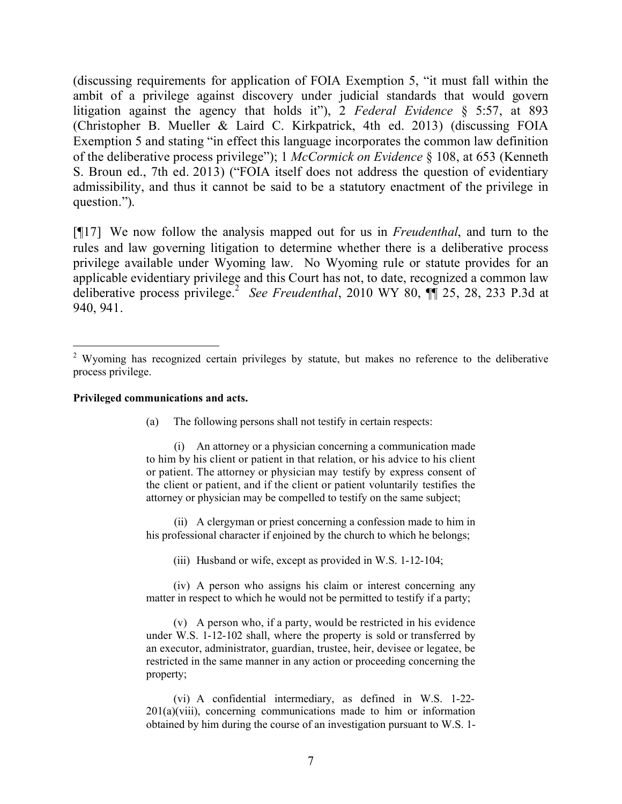(discussing requirements for application of FOIA Exemption 5, "it must fall within the ambit of a privilege against discovery under judicial standards that would govern litigation against the agency that holds it"), 2 *Federal Evidence* § 5:57, at 893 (Christopher B. Mueller & Laird C. Kirkpatrick, 4th ed. 2013) (discussing FOIA Exemption 5 and stating "in effect this language incorporates the common law definition of the deliberative process privilege"); 1 *McCormick on Evidence* § 108, at 653 (Kenneth S. Broun ed., 7th ed. 2013) ("FOIA itself does not address the question of evidentiary admissibility, and thus it cannot be said to be a statutory enactment of the privilege in question.").

[¶17] We now follow the analysis mapped out for us in *Freudenthal*, and turn to the rules and law governing litigation to determine whether there is a deliberative process privilege available under Wyoming law. No Wyoming rule or statute provides for an applicable evidentiary privilege and this Court has not, to date, recognized a common law deliberative process privilege.<sup>2</sup> See Freudenthal, 2010 WY 80,  $\P$  25, 28, 233 P.3d at 940, 941.

#### **Privileged communications and acts.**

 $\overline{a}$ 

(a) The following persons shall not testify in certain respects:

(i) An attorney or a physician concerning a communication made to him by his client or patient in that relation, or his advice to his client or patient. The attorney or physician may testify by express consent of the client or patient, and if the client or patient voluntarily testifies the attorney or physician may be compelled to testify on the same subject;

(ii) A clergyman or priest concerning a confession made to him in his professional character if enjoined by the church to which he belongs;

(iii) Husband or wife, except as provided in W.S. 1-12-104;

(iv) A person who assigns his claim or interest concerning any matter in respect to which he would not be permitted to testify if a party;

(v) A person who, if a party, would be restricted in his evidence under W.S. 1-12-102 shall, where the property is sold or transferred by an executor, administrator, guardian, trustee, heir, devisee or legatee, be restricted in the same manner in any action or proceeding concerning the property;

(vi) A confidential intermediary, as defined in W.S. 1-22-  $201(a)(viii)$ , concerning communications made to him or information obtained by him during the course of an investigation pursuant to W.S. 1-

<sup>&</sup>lt;sup>2</sup> Wyoming has recognized certain privileges by statute, but makes no reference to the deliberative process privilege.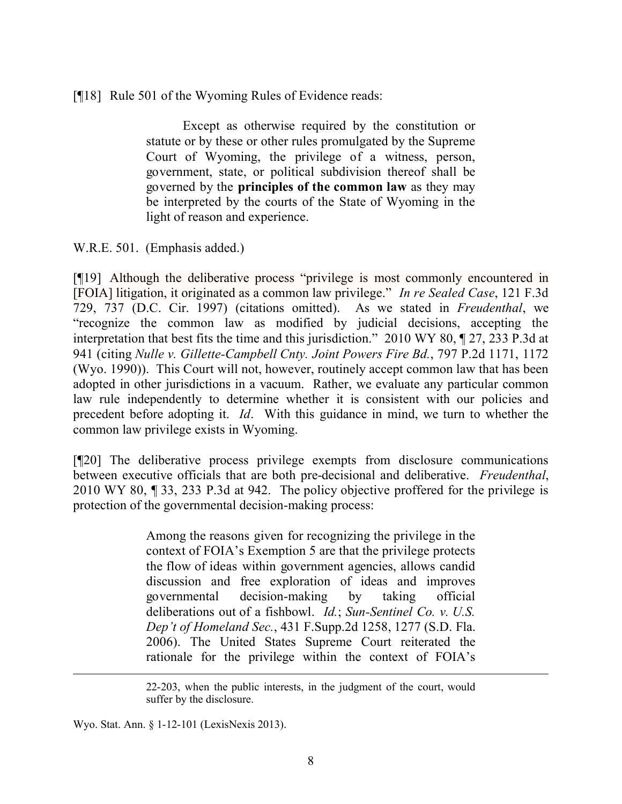[¶18] Rule 501 of the Wyoming Rules of Evidence reads:

Except as otherwise required by the constitution or statute or by these or other rules promulgated by the Supreme Court of Wyoming, the privilege of a witness, person, government, state, or political subdivision thereof shall be governed by the **principles of the common law** as they may be interpreted by the courts of the State of Wyoming in the light of reason and experience.

W.R.E. 501. (Emphasis added.)

[¶19] Although the deliberative process "privilege is most commonly encountered in [FOIA] litigation, it originated as a common law privilege." *In re Sealed Case*, 121 F.3d 729, 737 (D.C. Cir. 1997) (citations omitted). As we stated in *Freudenthal*, we "recognize the common law as modified by judicial decisions, accepting the interpretation that best fits the time and this jurisdiction." 2010 WY 80, ¶ 27, 233 P.3d at 941 (citing *Nulle v. Gillette-Campbell Cnty. Joint Powers Fire Bd.*, 797 P.2d 1171, 1172 (Wyo. 1990)). This Court will not, however, routinely accept common law that has been adopted in other jurisdictions in a vacuum. Rather, we evaluate any particular common law rule independently to determine whether it is consistent with our policies and precedent before adopting it. *Id*. With this guidance in mind, we turn to whether the common law privilege exists in Wyoming.

[¶20] The deliberative process privilege exempts from disclosure communications between executive officials that are both pre-decisional and deliberative. *Freudenthal*, 2010 WY 80, ¶ 33, 233 P.3d at 942. The policy objective proffered for the privilege is protection of the governmental decision-making process:

> Among the reasons given for recognizing the privilege in the context of FOIA's Exemption 5 are that the privilege protects the flow of ideas within government agencies, allows candid discussion and free exploration of ideas and improves governmental decision-making by taking official deliberations out of a fishbowl. *Id.*; *Sun-Sentinel Co. v. U.S. Dep't of Homeland Sec.*, 431 F.Supp.2d 1258, 1277 (S.D. Fla. 2006). The United States Supreme Court reiterated the rationale for the privilege within the context of FOIA's

Wyo. Stat. Ann. § 1-12-101 (LexisNexis 2013).

<sup>22-203,</sup> when the public interests, in the judgment of the court, would suffer by the disclosure.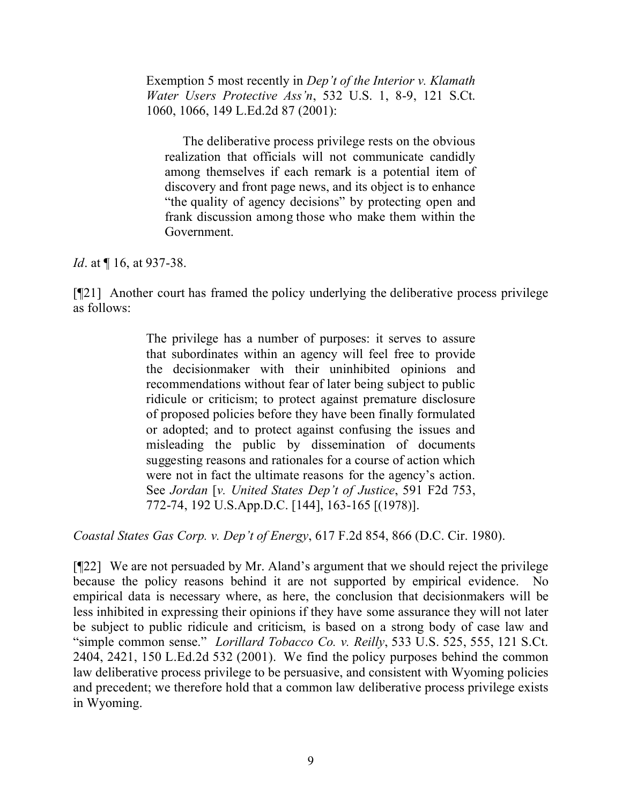Exemption 5 most recently in *Dep't of the Interior v. Klamath Water Users Protective Ass'n*, 532 U.S. 1, 8-9, 121 S.Ct. 1060, 1066, 149 L.Ed.2d 87 (2001):

The deliberative process privilege rests on the obvious realization that officials will not communicate candidly among themselves if each remark is a potential item of discovery and front page news, and its object is to enhance "the quality of agency decisions" by protecting open and frank discussion among those who make them within the Government.

*Id.* at  $\P$  16, at 937-38.

[¶21] Another court has framed the policy underlying the deliberative process privilege as follows:

> The privilege has a number of purposes: it serves to assure that subordinates within an agency will feel free to provide the decisionmaker with their uninhibited opinions and recommendations without fear of later being subject to public ridicule or criticism; to protect against premature disclosure of proposed policies before they have been finally formulated or adopted; and to protect against confusing the issues and misleading the public by dissemination of documents suggesting reasons and rationales for a course of action which were not in fact the ultimate reasons for the agency's action. See *Jordan* [*v. United States Dep't of Justice*, 591 F2d 753, 772-74, 192 U.S.App.D.C. [144], 163-165 [(1978)].

*Coastal States Gas Corp. v. Dep't of Energy*, 617 F.2d 854, 866 (D.C. Cir. 1980).

[¶22] We are not persuaded by Mr. Aland's argument that we should reject the privilege because the policy reasons behind it are not supported by empirical evidence. No empirical data is necessary where, as here, the conclusion that decisionmakers will be less inhibited in expressing their opinions if they have some assurance they will not later be subject to public ridicule and criticism, is based on a strong body of case law and "simple common sense." *Lorillard Tobacco Co. v. Reilly*, 533 U.S. 525, 555, 121 S.Ct. 2404, 2421, 150 L.Ed.2d 532 (2001). We find the policy purposes behind the common law deliberative process privilege to be persuasive, and consistent with Wyoming policies and precedent; we therefore hold that a common law deliberative process privilege exists in Wyoming.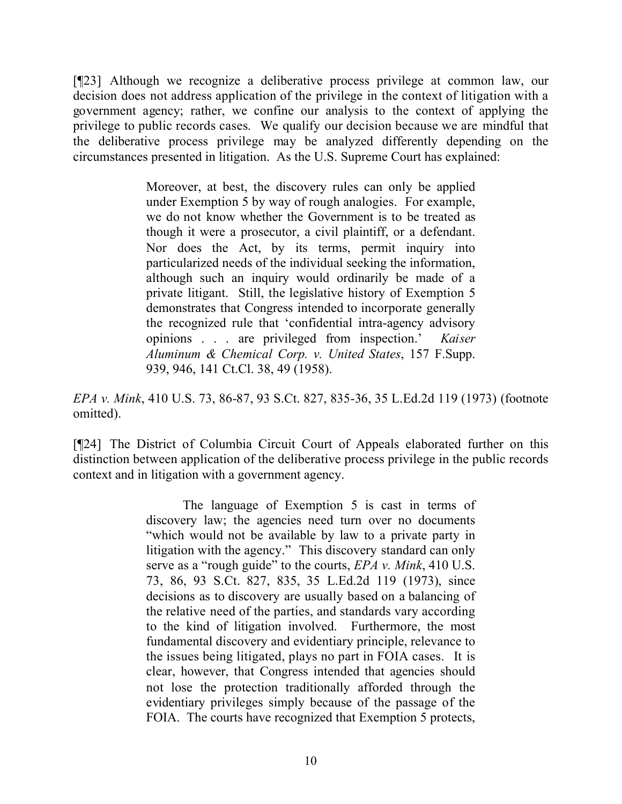[¶23] Although we recognize a deliberative process privilege at common law, our decision does not address application of the privilege in the context of litigation with a government agency; rather, we confine our analysis to the context of applying the privilege to public records cases. We qualify our decision because we are mindful that the deliberative process privilege may be analyzed differently depending on the circumstances presented in litigation. As the U.S. Supreme Court has explained:

> Moreover, at best, the discovery rules can only be applied under Exemption 5 by way of rough analogies. For example, we do not know whether the Government is to be treated as though it were a prosecutor, a civil plaintiff, or a defendant. Nor does the Act, by its terms, permit inquiry into particularized needs of the individual seeking the information, although such an inquiry would ordinarily be made of a private litigant. Still, the legislative history of Exemption 5 demonstrates that Congress intended to incorporate generally the recognized rule that 'confidential intra-agency advisory opinions . . . are privileged from inspection.' *Kaiser Aluminum & Chemical Corp. v. United States*, 157 F.Supp. 939, 946, 141 Ct.Cl. 38, 49 (1958).

*EPA v. Mink*, 410 U.S. 73, 86-87, 93 S.Ct. 827, 835-36, 35 L.Ed.2d 119 (1973) (footnote omitted).

[¶24] The District of Columbia Circuit Court of Appeals elaborated further on this distinction between application of the deliberative process privilege in the public records context and in litigation with a government agency.

> The language of Exemption 5 is cast in terms of discovery law; the agencies need turn over no documents "which would not be available by law to a private party in litigation with the agency." This discovery standard can only serve as a "rough guide" to the courts, *EPA v. Mink*, 410 U.S. 73, 86, 93 S.Ct. 827, 835, 35 L.Ed.2d 119 (1973), since decisions as to discovery are usually based on a balancing of the relative need of the parties, and standards vary according to the kind of litigation involved. Furthermore, the most fundamental discovery and evidentiary principle, relevance to the issues being litigated, plays no part in FOIA cases. It is clear, however, that Congress intended that agencies should not lose the protection traditionally afforded through the evidentiary privileges simply because of the passage of the FOIA. The courts have recognized that Exemption 5 protects,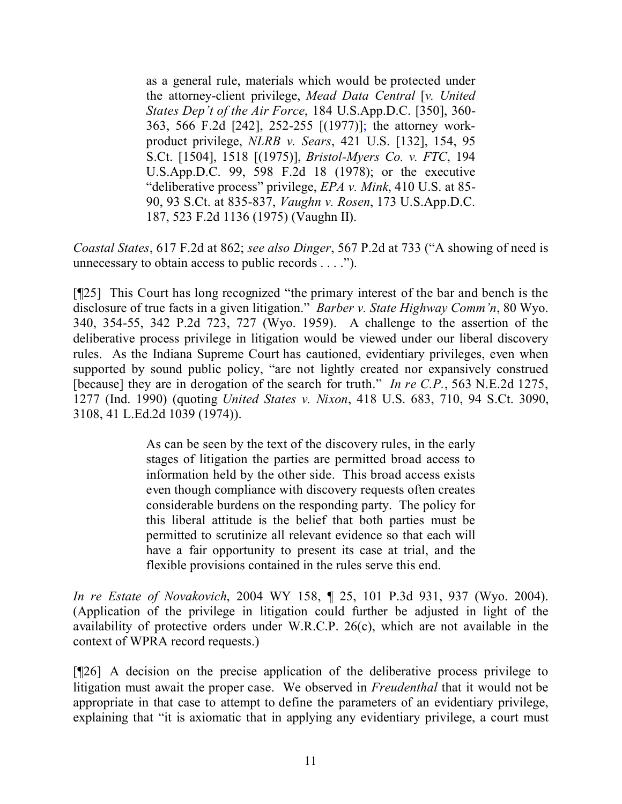as a general rule, materials which would be protected under the attorney-client privilege, *Mead Data Central* [*v. United States Dep't of the Air Force*, 184 U.S.App.D.C. [350], 360- 363, 566 F.2d [242], 252-255 [(1977)]; the attorney workproduct privilege, *NLRB v. Sears*, 421 U.S. [132], 154, 95 S.Ct. [1504], 1518 [(1975)], *Bristol-Myers Co. v. FTC*, 194 U.S.App.D.C. 99, 598 F.2d 18 (1978); or the executive "deliberative process" privilege, *EPA v. Mink*, 410 U.S. at 85- 90, 93 S.Ct. at 835-837, *Vaughn v. Rosen*, 173 U.S.App.D.C. 187, 523 F.2d 1136 (1975) (Vaughn II).

*Coastal States*, 617 F.2d at 862; *see also Dinger*, 567 P.2d at 733 ("A showing of need is unnecessary to obtain access to public records . . . .").

[¶25] This Court has long recognized "the primary interest of the bar and bench is the disclosure of true facts in a given litigation." *Barber v. State Highway Comm'n*, 80 Wyo. 340, 354-55, 342 P.2d 723, 727 (Wyo. 1959). A challenge to the assertion of the deliberative process privilege in litigation would be viewed under our liberal discovery rules. As the Indiana Supreme Court has cautioned, evidentiary privileges, even when supported by sound public policy, "are not lightly created nor expansively construed [because] they are in derogation of the search for truth." *In re C.P.*, 563 N.E.2d 1275, 1277 (Ind. 1990) (quoting *United States v. Nixon*, 418 U.S. 683, 710, 94 S.Ct. 3090, 3108, 41 L.Ed.2d 1039 (1974)).

> As can be seen by the text of the discovery rules, in the early stages of litigation the parties are permitted broad access to information held by the other side. This broad access exists even though compliance with discovery requests often creates considerable burdens on the responding party. The policy for this liberal attitude is the belief that both parties must be permitted to scrutinize all relevant evidence so that each will have a fair opportunity to present its case at trial, and the flexible provisions contained in the rules serve this end.

*In re Estate of Novakovich*, 2004 WY 158, ¶ 25, 101 P.3d 931, 937 (Wyo. 2004). (Application of the privilege in litigation could further be adjusted in light of the availability of protective orders under W.R.C.P. 26(c), which are not available in the context of WPRA record requests.)

[¶26] A decision on the precise application of the deliberative process privilege to litigation must await the proper case. We observed in *Freudenthal* that it would not be appropriate in that case to attempt to define the parameters of an evidentiary privilege, explaining that "it is axiomatic that in applying any evidentiary privilege, a court must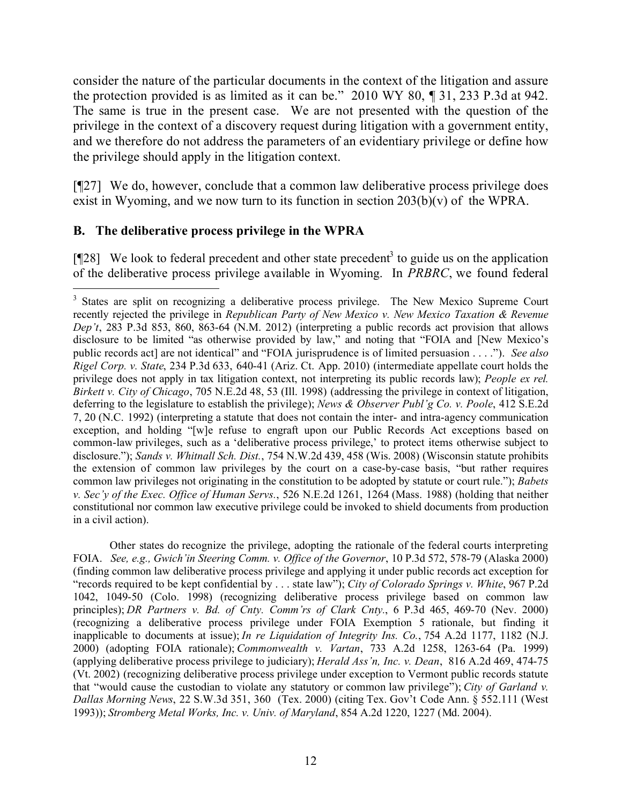consider the nature of the particular documents in the context of the litigation and assure the protection provided is as limited as it can be." 2010 WY 80, ¶ 31, 233 P.3d at 942. The same is true in the present case. We are not presented with the question of the privilege in the context of a discovery request during litigation with a government entity, and we therefore do not address the parameters of an evidentiary privilege or define how the privilege should apply in the litigation context.

[¶27] We do, however, conclude that a common law deliberative process privilege does exist in Wyoming, and we now turn to its function in section  $203(b)(v)$  of the WPRA.

# **B. The deliberative process privilege in the WPRA**

[ $[128]$  We look to federal precedent and other state precedent<sup>3</sup> to guide us on the application of the deliberative process privilege available in Wyoming. In *PRBRC*, we found federal

Other states do recognize the privilege, adopting the rationale of the federal courts interpreting FOIA. *See, e.g., Gwich'in Steering Comm. v. Office of the Governor*, 10 P.3d 572, 578-79 (Alaska 2000) (finding common law deliberative process privilege and applying it under public records act exception for "records required to be kept confidential by . . . state law"); *City of Colorado Springs v. White*, 967 P.2d 1042, 1049-50 (Colo. 1998) (recognizing deliberative process privilege based on common law principles); *DR Partners v. Bd. of Cnty. Comm'rs of Clark Cnty.*, 6 P.3d 465, 469-70 (Nev. 2000) (recognizing a deliberative process privilege under FOIA Exemption 5 rationale, but finding it inapplicable to documents at issue); *In re Liquidation of Integrity Ins. Co.*, 754 A.2d 1177, 1182 (N.J. 2000) (adopting FOIA rationale); *Commonwealth v. Vartan*, 733 A.2d 1258, 1263-64 (Pa. 1999) (applying deliberative process privilege to judiciary); *Herald Ass'n, Inc. v. Dean*, 816 A.2d 469, 474-75 (Vt. 2002) (recognizing deliberative process privilege under exception to Vermont public records statute that "would cause the custodian to violate any statutory or common law privilege"); *City of Garland v. Dallas Morning News*, 22 S.W.3d 351, 360 (Tex. 2000) (citing Tex. Gov't Code Ann. § 552.111 (West 1993)); *Stromberg Metal Works, Inc. v. Univ. of Maryland*, 854 A.2d 1220, 1227 (Md. 2004).

 $\overline{a}$ <sup>3</sup> States are split on recognizing a deliberative process privilege. The New Mexico Supreme Court recently rejected the privilege in *Republican Party of New Mexico v. New Mexico Taxation & Revenue Dep't*, 283 P.3d 853, 860, 863-64 (N.M. 2012) (interpreting a public records act provision that allows disclosure to be limited "as otherwise provided by law," and noting that "FOIA and [New Mexico's public records act] are not identical" and "FOIA jurisprudence is of limited persuasion . . . ."). *See also Rigel Corp. v. State*, 234 P.3d 633, 640-41 (Ariz. Ct. App. 2010) (intermediate appellate court holds the privilege does not apply in tax litigation context, not interpreting its public records law); *People ex rel. Birkett v. City of Chicago*, 705 N.E.2d 48, 53 (Ill. 1998) (addressing the privilege in context of litigation, deferring to the legislature to establish the privilege); *News & Observer Publ'g Co. v. Poole*, 412 S.E.2d 7, 20 (N.C. 1992) (interpreting a statute that does not contain the inter- and intra-agency communication exception, and holding "[w]e refuse to engraft upon our Public Records Act exceptions based on common-law privileges, such as a 'deliberative process privilege,' to protect items otherwise subject to disclosure."); *Sands v. Whitnall Sch. Dist.*, 754 N.W.2d 439, 458 (Wis. 2008) (Wisconsin statute prohibits the extension of common law privileges by the court on a case-by-case basis, "but rather requires common law privileges not originating in the constitution to be adopted by statute or court rule."); *Babets v. Sec'y of the Exec. Office of Human Servs.*, 526 N.E.2d 1261, 1264 (Mass. 1988) (holding that neither constitutional nor common law executive privilege could be invoked to shield documents from production in a civil action).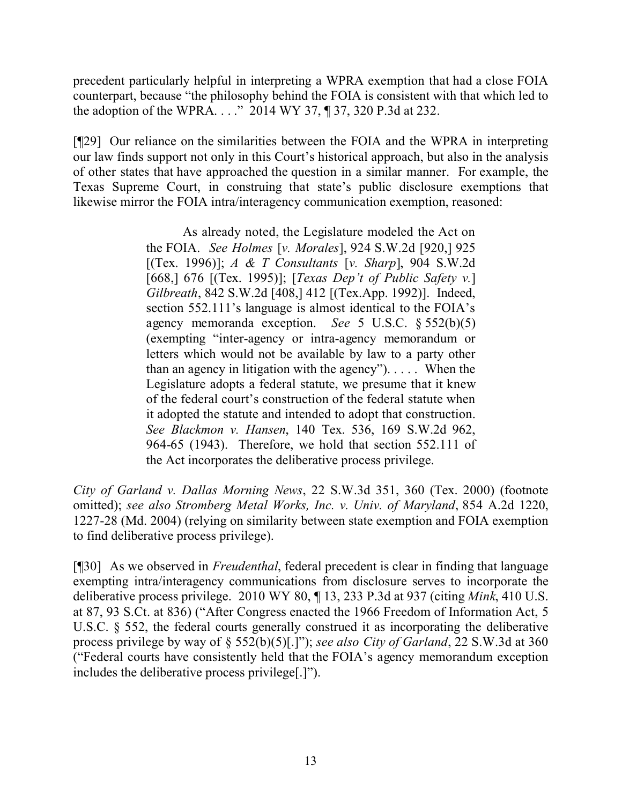precedent particularly helpful in interpreting a WPRA exemption that had a close FOIA counterpart, because "the philosophy behind the FOIA is consistent with that which led to the adoption of the WPRA. . . ." 2014 WY 37, ¶ 37, 320 P.3d at 232.

[¶29] Our reliance on the similarities between the FOIA and the WPRA in interpreting our law finds support not only in this Court's historical approach, but also in the analysis of other states that have approached the question in a similar manner. For example, the Texas Supreme Court, in construing that state's public disclosure exemptions that likewise mirror the FOIA intra/interagency communication exemption, reasoned:

> As already noted, the Legislature modeled the Act on the FOIA. *See Holmes* [*v. Morales*], 924 S.W.2d [920,] 925 [(Tex. 1996)]; *A & T Consultants* [*v. Sharp*], 904 S.W.2d [668,] 676 [(Tex. 1995)]; [*Texas Dep't of Public Safety v.*] *Gilbreath*, 842 S.W.2d [408,] 412 [(Tex.App. 1992)]. Indeed, section 552.111's language is almost identical to the FOIA's agency memoranda exception. *See* 5 U.S.C. § 552(b)(5) (exempting "inter-agency or intra-agency memorandum or letters which would not be available by law to a party other than an agency in litigation with the agency"). . . . . When the Legislature adopts a federal statute, we presume that it knew of the federal court's construction of the federal statute when it adopted the statute and intended to adopt that construction. *See Blackmon v. Hansen*, 140 Tex. 536, 169 S.W.2d 962, 964-65 (1943). Therefore, we hold that section 552.111 of the Act incorporates the deliberative process privilege.

*City of Garland v. Dallas Morning News*, 22 S.W.3d 351, 360 (Tex. 2000) (footnote omitted); *see also Stromberg Metal Works, Inc. v. Univ. of Maryland*, 854 A.2d 1220, 1227-28 (Md. 2004) (relying on similarity between state exemption and FOIA exemption to find deliberative process privilege).

[¶30] As we observed in *Freudenthal*, federal precedent is clear in finding that language exempting intra/interagency communications from disclosure serves to incorporate the deliberative process privilege. 2010 WY 80, ¶ 13, 233 P.3d at 937 (citing *Mink*, 410 U.S. at 87, 93 S.Ct. at 836) ("After Congress enacted the 1966 Freedom of Information Act, 5 U.S.C. § 552, the federal courts generally construed it as incorporating the deliberative process privilege by way of § 552(b)(5)[.]"); *see also City of Garland*, 22 S.W.3d at 360 ("Federal courts have consistently held that the FOIA's agency memorandum exception includes the deliberative process privilege[.]").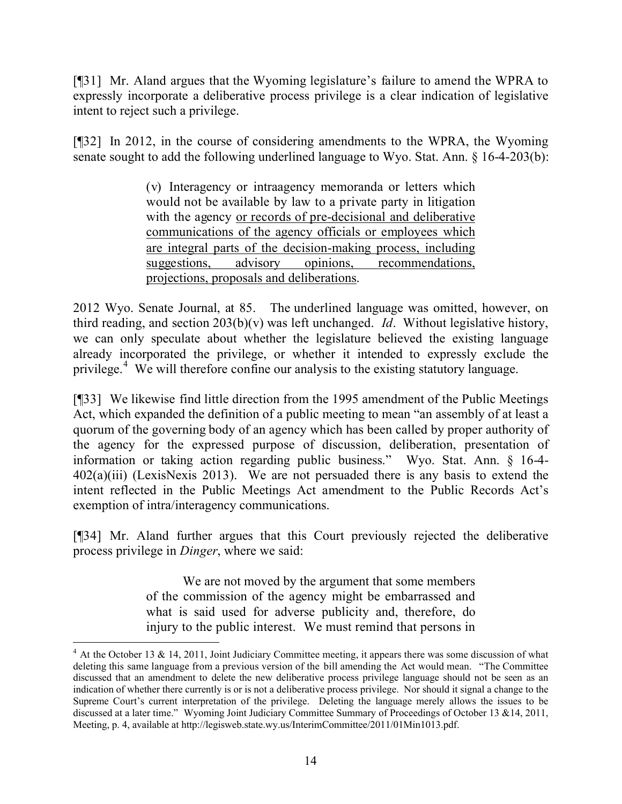[¶31] Mr. Aland argues that the Wyoming legislature's failure to amend the WPRA to expressly incorporate a deliberative process privilege is a clear indication of legislative intent to reject such a privilege.

[¶32] In 2012, in the course of considering amendments to the WPRA, the Wyoming senate sought to add the following underlined language to Wyo. Stat. Ann. § 16-4-203(b):

> (v) Interagency or intraagency memoranda or letters which would not be available by law to a private party in litigation with the agency or records of pre-decisional and deliberative communications of the agency officials or employees which are integral parts of the decision-making process, including suggestions, advisory opinions, recommendations, projections, proposals and deliberations.

2012 Wyo. Senate Journal, at 85. The underlined language was omitted, however, on third reading, and section 203(b)(v) was left unchanged. *Id*. Without legislative history, we can only speculate about whether the legislature believed the existing language already incorporated the privilege, or whether it intended to expressly exclude the privilege.<sup>4</sup> We will therefore confine our analysis to the existing statutory language.

[¶33] We likewise find little direction from the 1995 amendment of the Public Meetings Act, which expanded the definition of a public meeting to mean "an assembly of at least a quorum of the governing body of an agency which has been called by proper authority of the agency for the expressed purpose of discussion, deliberation, presentation of information or taking action regarding public business." Wyo. Stat. Ann. § 16-4- 402(a)(iii) (LexisNexis 2013). We are not persuaded there is any basis to extend the intent reflected in the Public Meetings Act amendment to the Public Records Act's exemption of intra/interagency communications.

[¶34] Mr. Aland further argues that this Court previously rejected the deliberative process privilege in *Dinger*, where we said:

> We are not moved by the argument that some members of the commission of the agency might be embarrassed and what is said used for adverse publicity and, therefore, do injury to the public interest. We must remind that persons in

 $4$  At the October 13 & 14, 2011, Joint Judiciary Committee meeting, it appears there was some discussion of what deleting this same language from a previous version of the bill amending the Act would mean. "The Committee discussed that an amendment to delete the new deliberative process privilege language should not be seen as an indication of whether there currently is or is not a deliberative process privilege. Nor should it signal a change to the Supreme Court's current interpretation of the privilege. Deleting the language merely allows the issues to be discussed at a later time." Wyoming Joint Judiciary Committee Summary of Proceedings of October 13 &14, 2011, Meeting, p. 4, available at http://legisweb.state.wy.us/InterimCommittee/2011/01Min1013.pdf.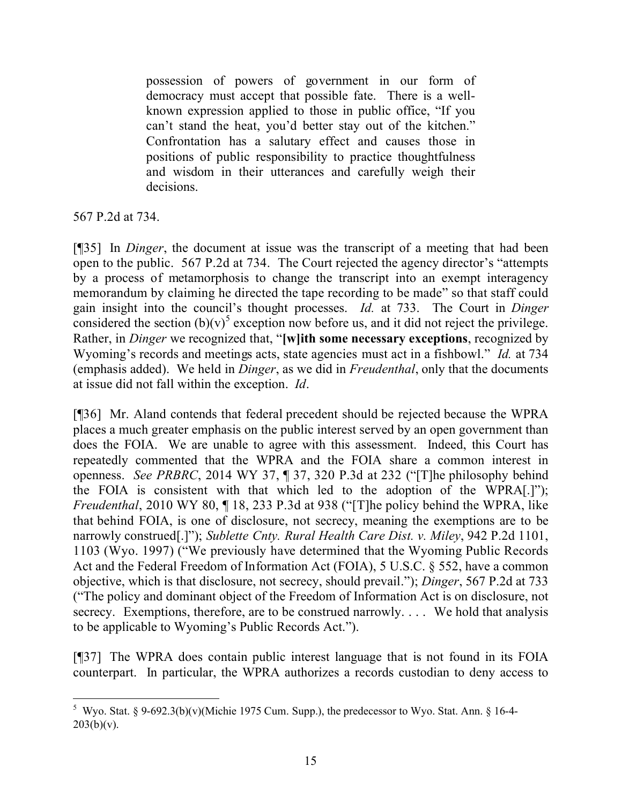possession of powers of government in our form of democracy must accept that possible fate. There is a wellknown expression applied to those in public office, "If you can't stand the heat, you'd better stay out of the kitchen." Confrontation has a salutary effect and causes those in positions of public responsibility to practice thoughtfulness and wisdom in their utterances and carefully weigh their decisions.

567 P.2d at 734.

[¶35] In *Dinger*, the document at issue was the transcript of a meeting that had been open to the public. 567 P.2d at 734. The Court rejected the agency director's "attempts by a process of metamorphosis to change the transcript into an exempt interagency memorandum by claiming he directed the tape recording to be made" so that staff could gain insight into the council's thought processes. *Id.* at 733. The Court in *Dinger* considered the section  $(b)(v)^5$  exception now before us, and it did not reject the privilege. Rather, in *Dinger* we recognized that, "**[w]ith some necessary exceptions**, recognized by Wyoming's records and meetings acts, state agencies must act in a fishbowl." *Id.* at 734 (emphasis added). We held in *Dinger*, as we did in *Freudenthal*, only that the documents at issue did not fall within the exception. *Id*.

[¶36] Mr. Aland contends that federal precedent should be rejected because the WPRA places a much greater emphasis on the public interest served by an open government than does the FOIA. We are unable to agree with this assessment. Indeed, this Court has repeatedly commented that the WPRA and the FOIA share a common interest in openness. *See PRBRC*, 2014 WY 37, ¶ 37, 320 P.3d at 232 ("[T]he philosophy behind the FOIA is consistent with that which led to the adoption of the WPRA[.]"); *Freudenthal*, 2010 WY 80, ¶ 18, 233 P.3d at 938 ("[T]he policy behind the WPRA, like that behind FOIA, is one of disclosure, not secrecy, meaning the exemptions are to be narrowly construed[.]"); *Sublette Cnty. Rural Health Care Dist. v. Miley*, 942 P.2d 1101, 1103 (Wyo. 1997) ("We previously have determined that the Wyoming Public Records Act and the Federal Freedom of Information Act (FOIA), 5 U.S.C. § 552, have a common objective, which is that disclosure, not secrecy, should prevail."); *Dinger*, 567 P.2d at 733 ("The policy and dominant object of the Freedom of Information Act is on disclosure, not secrecy. Exemptions, therefore, are to be construed narrowly.... We hold that analysis to be applicable to Wyoming's Public Records Act.").

[¶37] The WPRA does contain public interest language that is not found in its FOIA counterpart. In particular, the WPRA authorizes a records custodian to deny access to

<sup>&</sup>lt;sup>5</sup> Wyo. Stat. § 9-692.3(b)(v)(Michie 1975 Cum. Supp.), the predecessor to Wyo. Stat. Ann. § 16-4- $203(b)(v)$ .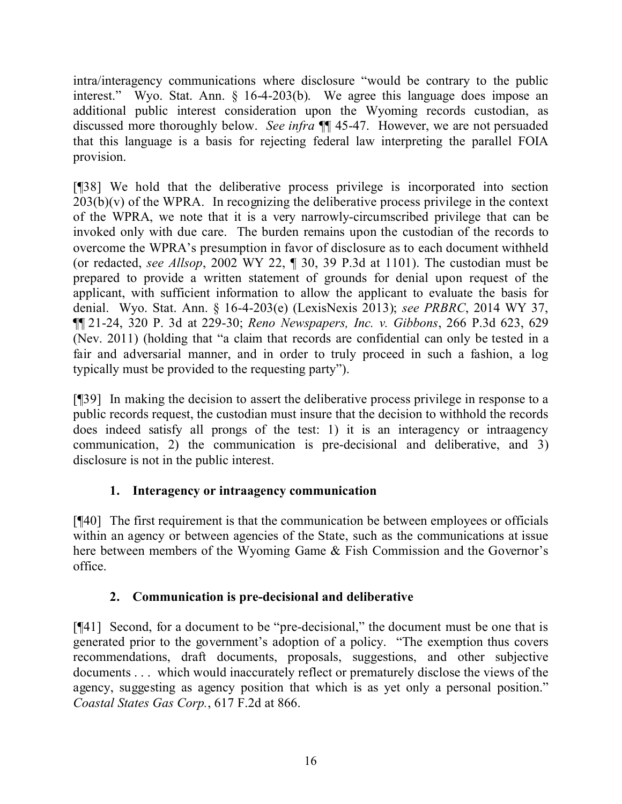intra/interagency communications where disclosure "would be contrary to the public interest." Wyo. Stat. Ann. § 16-4-203(b). We agree this language does impose an additional public interest consideration upon the Wyoming records custodian, as discussed more thoroughly below. *See infra* ¶¶ 45-47. However, we are not persuaded that this language is a basis for rejecting federal law interpreting the parallel FOIA provision.

[¶38] We hold that the deliberative process privilege is incorporated into section  $203(b)(v)$  of the WPRA. In recognizing the deliberative process privilege in the context of the WPRA, we note that it is a very narrowly-circumscribed privilege that can be invoked only with due care. The burden remains upon the custodian of the records to overcome the WPRA's presumption in favor of disclosure as to each document withheld (or redacted, *see Allsop*, 2002 WY 22, ¶ 30, 39 P.3d at 1101). The custodian must be prepared to provide a written statement of grounds for denial upon request of the applicant, with sufficient information to allow the applicant to evaluate the basis for denial. Wyo. Stat. Ann. § 16-4-203(e) (LexisNexis 2013); *see PRBRC*, 2014 WY 37, ¶¶ 21-24, 320 P. 3d at 229-30; *Reno Newspapers, Inc. v. Gibbons*, 266 P.3d 623, 629 (Nev. 2011) (holding that "a claim that records are confidential can only be tested in a fair and adversarial manner, and in order to truly proceed in such a fashion, a log typically must be provided to the requesting party").

[¶39] In making the decision to assert the deliberative process privilege in response to a public records request, the custodian must insure that the decision to withhold the records does indeed satisfy all prongs of the test: 1) it is an interagency or intraagency communication, 2) the communication is pre-decisional and deliberative, and 3) disclosure is not in the public interest.

# **1. Interagency or intraagency communication**

[¶40] The first requirement is that the communication be between employees or officials within an agency or between agencies of the State, such as the communications at issue here between members of the Wyoming Game & Fish Commission and the Governor's office.

# **2. Communication is pre-decisional and deliberative**

[¶41] Second, for a document to be "pre-decisional," the document must be one that is generated prior to the government's adoption of a policy. "The exemption thus covers recommendations, draft documents, proposals, suggestions, and other subjective documents . . . which would inaccurately reflect or prematurely disclose the views of the agency, suggesting as agency position that which is as yet only a personal position." *Coastal States Gas Corp.*, 617 F.2d at 866.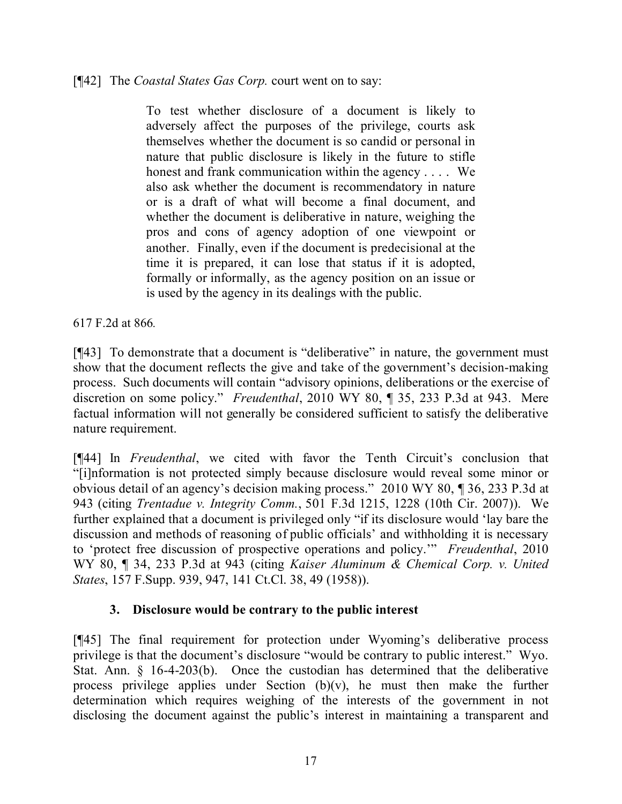#### [¶42] The *Coastal States Gas Corp.* court went on to say:

To test whether disclosure of a document is likely to adversely affect the purposes of the privilege, courts ask themselves whether the document is so candid or personal in nature that public disclosure is likely in the future to stifle honest and frank communication within the agency . . . . We also ask whether the document is recommendatory in nature or is a draft of what will become a final document, and whether the document is deliberative in nature, weighing the pros and cons of agency adoption of one viewpoint or another. Finally, even if the document is predecisional at the time it is prepared, it can lose that status if it is adopted, formally or informally, as the agency position on an issue or is used by the agency in its dealings with the public.

617 F.2d at 866*.*

[¶43] To demonstrate that a document is "deliberative" in nature, the government must show that the document reflects the give and take of the government's decision-making process. Such documents will contain "advisory opinions, deliberations or the exercise of discretion on some policy." *Freudenthal*, 2010 WY 80, ¶ 35, 233 P.3d at 943. Mere factual information will not generally be considered sufficient to satisfy the deliberative nature requirement.

[¶44] In *Freudenthal*, we cited with favor the Tenth Circuit's conclusion that "[i]nformation is not protected simply because disclosure would reveal some minor or obvious detail of an agency's decision making process." 2010 WY 80, ¶ 36, 233 P.3d at 943 (citing *Trentadue v. Integrity Comm.*, 501 F.3d 1215, 1228 (10th Cir. 2007)). We further explained that a document is privileged only "if its disclosure would 'lay bare the discussion and methods of reasoning of public officials' and withholding it is necessary to 'protect free discussion of prospective operations and policy.'" *Freudenthal*, 2010 WY 80, ¶ 34, 233 P.3d at 943 (citing *Kaiser Aluminum & Chemical Corp. v. United States*, 157 F.Supp. 939, 947, 141 Ct.Cl. 38, 49 (1958)).

## **3. Disclosure would be contrary to the public interest**

[¶45] The final requirement for protection under Wyoming's deliberative process privilege is that the document's disclosure "would be contrary to public interest." Wyo. Stat. Ann. § 16-4-203(b). Once the custodian has determined that the deliberative process privilege applies under Section (b)(v), he must then make the further determination which requires weighing of the interests of the government in not disclosing the document against the public's interest in maintaining a transparent and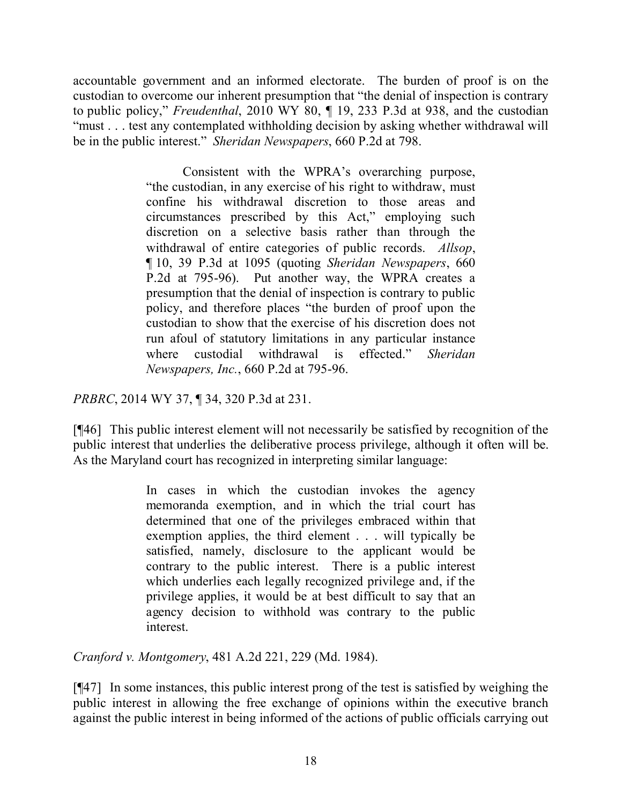accountable government and an informed electorate. The burden of proof is on the custodian to overcome our inherent presumption that "the denial of inspection is contrary to public policy," *Freudenthal*, 2010 WY 80, ¶ 19, 233 P.3d at 938, and the custodian "must . . . test any contemplated withholding decision by asking whether withdrawal will be in the public interest." *Sheridan Newspapers*, 660 P.2d at 798.

> Consistent with the WPRA's overarching purpose, "the custodian, in any exercise of his right to withdraw, must confine his withdrawal discretion to those areas and circumstances prescribed by this Act," employing such discretion on a selective basis rather than through the withdrawal of entire categories of public records. *Allsop*, ¶ 10, 39 P.3d at 1095 (quoting *Sheridan Newspapers*, 660 P.2d at 795-96). Put another way, the WPRA creates a presumption that the denial of inspection is contrary to public policy, and therefore places "the burden of proof upon the custodian to show that the exercise of his discretion does not run afoul of statutory limitations in any particular instance where custodial withdrawal is effected." *Sheridan Newspapers, Inc.*, 660 P.2d at 795-96.

*PRBRC*, 2014 WY 37, ¶ 34, 320 P.3d at 231.

[¶46] This public interest element will not necessarily be satisfied by recognition of the public interest that underlies the deliberative process privilege, although it often will be. As the Maryland court has recognized in interpreting similar language:

> In cases in which the custodian invokes the agency memoranda exemption, and in which the trial court has determined that one of the privileges embraced within that exemption applies, the third element . . . will typically be satisfied, namely, disclosure to the applicant would be contrary to the public interest. There is a public interest which underlies each legally recognized privilege and, if the privilege applies, it would be at best difficult to say that an agency decision to withhold was contrary to the public interest.

*Cranford v. Montgomery*, 481 A.2d 221, 229 (Md. 1984).

[¶47] In some instances, this public interest prong of the test is satisfied by weighing the public interest in allowing the free exchange of opinions within the executive branch against the public interest in being informed of the actions of public officials carrying out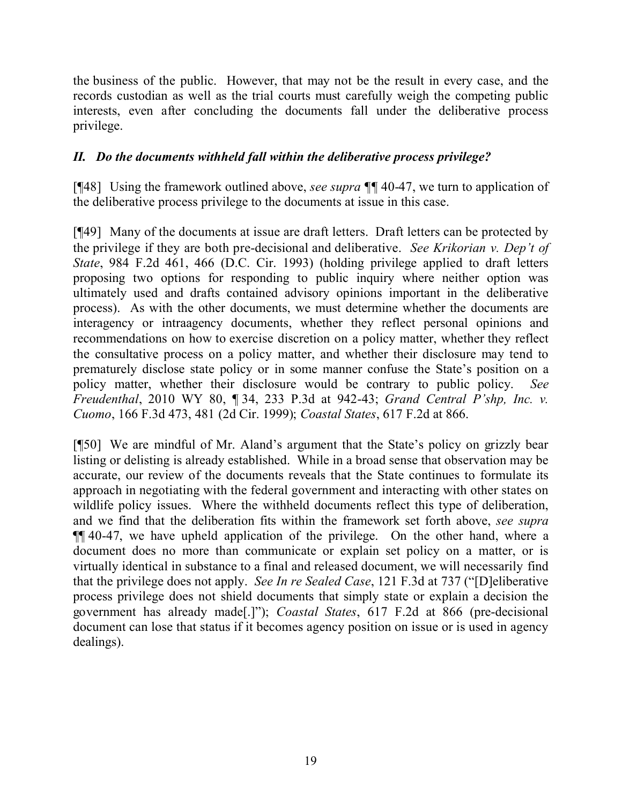the business of the public. However, that may not be the result in every case, and the records custodian as well as the trial courts must carefully weigh the competing public interests, even after concluding the documents fall under the deliberative process privilege.

# *II. Do the documents withheld fall within the deliberative process privilege?*

[¶48] Using the framework outlined above, *see supra ¶¶* 40-47, we turn to application of the deliberative process privilege to the documents at issue in this case.

[¶49] Many of the documents at issue are draft letters. Draft letters can be protected by the privilege if they are both pre-decisional and deliberative. *See Krikorian v. Dep't of State*, 984 F.2d 461, 466 (D.C. Cir. 1993) (holding privilege applied to draft letters proposing two options for responding to public inquiry where neither option was ultimately used and drafts contained advisory opinions important in the deliberative process). As with the other documents, we must determine whether the documents are interagency or intraagency documents, whether they reflect personal opinions and recommendations on how to exercise discretion on a policy matter, whether they reflect the consultative process on a policy matter, and whether their disclosure may tend to prematurely disclose state policy or in some manner confuse the State's position on a policy matter, whether their disclosure would be contrary to public policy. *See Freudenthal*, 2010 WY 80, ¶ 34, 233 P.3d at 942-43; *Grand Central P'shp, Inc. v. Cuomo*, 166 F.3d 473, 481 (2d Cir. 1999); *Coastal States*, 617 F.2d at 866.

[¶50] We are mindful of Mr. Aland's argument that the State's policy on grizzly bear listing or delisting is already established. While in a broad sense that observation may be accurate, our review of the documents reveals that the State continues to formulate its approach in negotiating with the federal government and interacting with other states on wildlife policy issues. Where the withheld documents reflect this type of deliberation, and we find that the deliberation fits within the framework set forth above, *see supra* ¶¶ 40-47, we have upheld application of the privilege. On the other hand, where a document does no more than communicate or explain set policy on a matter, or is virtually identical in substance to a final and released document, we will necessarily find that the privilege does not apply. *See In re Sealed Case*, 121 F.3d at 737 ("[D]eliberative process privilege does not shield documents that simply state or explain a decision the government has already made[.]"); *Coastal States*, 617 F.2d at 866 (pre-decisional document can lose that status if it becomes agency position on issue or is used in agency dealings).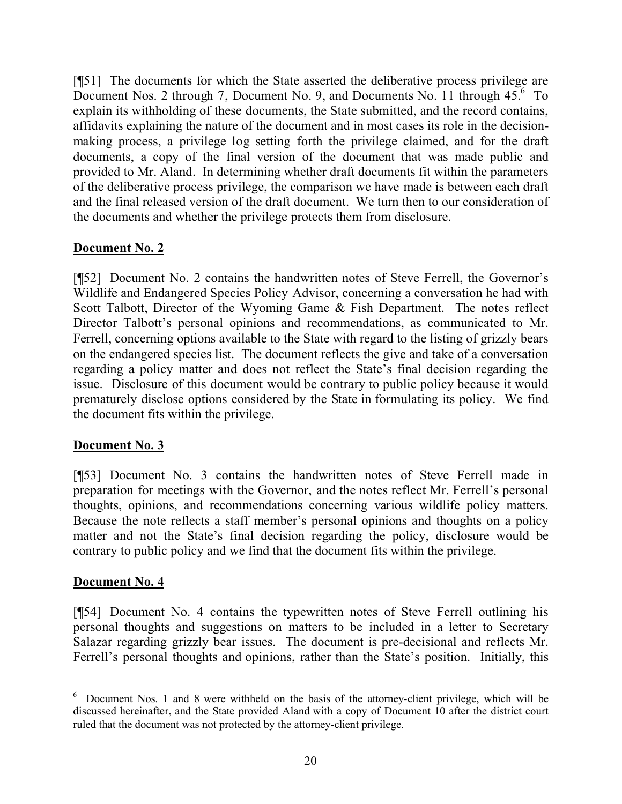[¶51] The documents for which the State asserted the deliberative process privilege are Document Nos. 2 through 7, Document No. 9, and Documents No. 11 through 45.<sup>6</sup> To explain its withholding of these documents, the State submitted, and the record contains, affidavits explaining the nature of the document and in most cases its role in the decisionmaking process, a privilege log setting forth the privilege claimed, and for the draft documents, a copy of the final version of the document that was made public and provided to Mr. Aland. In determining whether draft documents fit within the parameters of the deliberative process privilege, the comparison we have made is between each draft and the final released version of the draft document. We turn then to our consideration of the documents and whether the privilege protects them from disclosure.

## **Document No. 2**

[¶52] Document No. 2 contains the handwritten notes of Steve Ferrell, the Governor's Wildlife and Endangered Species Policy Advisor, concerning a conversation he had with Scott Talbott, Director of the Wyoming Game & Fish Department. The notes reflect Director Talbott's personal opinions and recommendations, as communicated to Mr. Ferrell, concerning options available to the State with regard to the listing of grizzly bears on the endangered species list. The document reflects the give and take of a conversation regarding a policy matter and does not reflect the State's final decision regarding the issue. Disclosure of this document would be contrary to public policy because it would prematurely disclose options considered by the State in formulating its policy. We find the document fits within the privilege.

## **Document No. 3**

[¶53] Document No. 3 contains the handwritten notes of Steve Ferrell made in preparation for meetings with the Governor, and the notes reflect Mr. Ferrell's personal thoughts, opinions, and recommendations concerning various wildlife policy matters. Because the note reflects a staff member's personal opinions and thoughts on a policy matter and not the State's final decision regarding the policy, disclosure would be contrary to public policy and we find that the document fits within the privilege.

## **Document No. 4**

[¶54] Document No. 4 contains the typewritten notes of Steve Ferrell outlining his personal thoughts and suggestions on matters to be included in a letter to Secretary Salazar regarding grizzly bear issues. The document is pre-decisional and reflects Mr. Ferrell's personal thoughts and opinions, rather than the State's position. Initially, this

 <sup>6</sup> Document Nos. 1 and 8 were withheld on the basis of the attorney-client privilege, which will be discussed hereinafter, and the State provided Aland with a copy of Document 10 after the district court ruled that the document was not protected by the attorney-client privilege.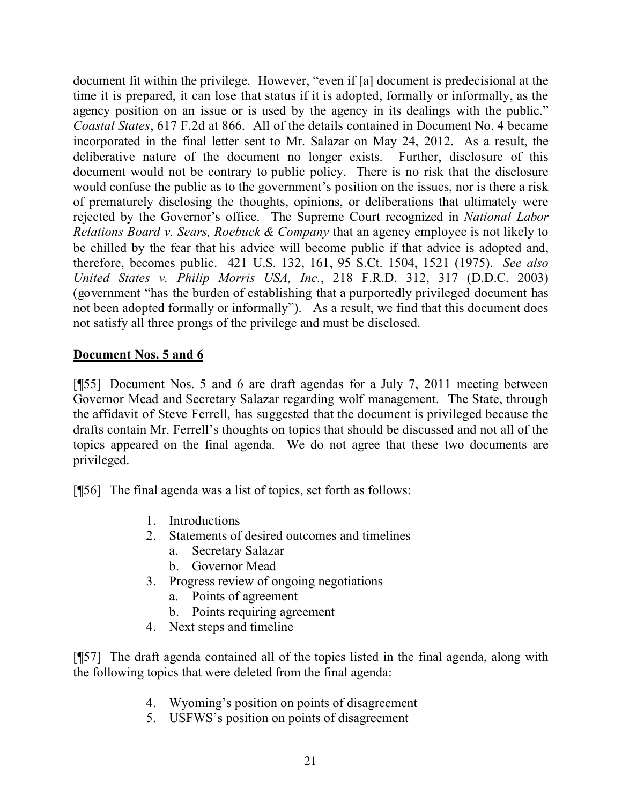document fit within the privilege. However, "even if [a] document is predecisional at the time it is prepared, it can lose that status if it is adopted, formally or informally, as the agency position on an issue or is used by the agency in its dealings with the public." *Coastal States*, 617 F.2d at 866. All of the details contained in Document No. 4 became incorporated in the final letter sent to Mr. Salazar on May 24, 2012. As a result, the deliberative nature of the document no longer exists. Further, disclosure of this document would not be contrary to public policy. There is no risk that the disclosure would confuse the public as to the government's position on the issues, nor is there a risk of prematurely disclosing the thoughts, opinions, or deliberations that ultimately were rejected by the Governor's office. The Supreme Court recognized in *National Labor Relations Board v. Sears, Roebuck & Company* that an agency employee is not likely to be chilled by the fear that his advice will become public if that advice is adopted and, therefore, becomes public. 421 U.S. 132, 161, 95 S.Ct. 1504, 1521 (1975). *See also United States v. Philip Morris USA, Inc.*, 218 F.R.D. 312, 317 (D.D.C. 2003) (government "has the burden of establishing that a purportedly privileged document has not been adopted formally or informally"). As a result, we find that this document does not satisfy all three prongs of the privilege and must be disclosed.

## **Document Nos. 5 and 6**

[¶55] Document Nos. 5 and 6 are draft agendas for a July 7, 2011 meeting between Governor Mead and Secretary Salazar regarding wolf management. The State, through the affidavit of Steve Ferrell, has suggested that the document is privileged because the drafts contain Mr. Ferrell's thoughts on topics that should be discussed and not all of the topics appeared on the final agenda. We do not agree that these two documents are privileged.

[¶56] The final agenda was a list of topics, set forth as follows:

- 1. Introductions
- 2. Statements of desired outcomes and timelines
	- a. Secretary Salazar
	- b. Governor Mead
- 3. Progress review of ongoing negotiations
	- a. Points of agreement
	- b. Points requiring agreement
- 4. Next steps and timeline

[¶57] The draft agenda contained all of the topics listed in the final agenda, along with the following topics that were deleted from the final agenda:

- 4. Wyoming's position on points of disagreement
- 5. USFWS's position on points of disagreement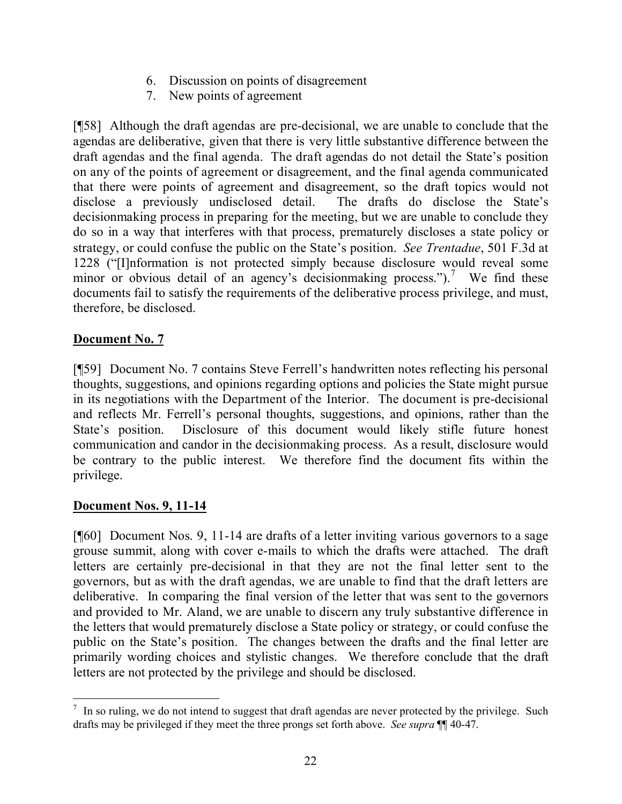- 6. Discussion on points of disagreement
- 7. New points of agreement

[¶58] Although the draft agendas are pre-decisional, we are unable to conclude that the agendas are deliberative, given that there is very little substantive difference between the draft agendas and the final agenda. The draft agendas do not detail the State's position on any of the points of agreement or disagreement, and the final agenda communicated that there were points of agreement and disagreement, so the draft topics would not disclose a previously undisclosed detail. The drafts do disclose the State's decisionmaking process in preparing for the meeting, but we are unable to conclude they do so in a way that interferes with that process, prematurely discloses a state policy or strategy, or could confuse the public on the State's position. *See Trentadue*, 501 F.3d at 1228 ("[I]nformation is not protected simply because disclosure would reveal some minor or obvious detail of an agency's decision making process.").<sup>7</sup> We find these documents fail to satisfy the requirements of the deliberative process privilege, and must, therefore, be disclosed.

## **Document No. 7**

[¶59] Document No. 7 contains Steve Ferrell's handwritten notes reflecting his personal thoughts, suggestions, and opinions regarding options and policies the State might pursue in its negotiations with the Department of the Interior. The document is pre-decisional and reflects Mr. Ferrell's personal thoughts, suggestions, and opinions, rather than the State's position. Disclosure of this document would likely stifle future honest communication and candor in the decisionmaking process. As a result, disclosure would be contrary to the public interest. We therefore find the document fits within the privilege.

## **Document Nos. 9, 11-14**

[¶60] Document Nos. 9, 11-14 are drafts of a letter inviting various governors to a sage grouse summit, along with cover e-mails to which the drafts were attached. The draft letters are certainly pre-decisional in that they are not the final letter sent to the governors, but as with the draft agendas, we are unable to find that the draft letters are deliberative. In comparing the final version of the letter that was sent to the governors and provided to Mr. Aland, we are unable to discern any truly substantive difference in the letters that would prematurely disclose a State policy or strategy, or could confuse the public on the State's position. The changes between the drafts and the final letter are primarily wording choices and stylistic changes. We therefore conclude that the draft letters are not protected by the privilege and should be disclosed.

<sup>&</sup>lt;sup>7</sup> In so ruling, we do not intend to suggest that draft agendas are never protected by the privilege. Such drafts may be privileged if they meet the three prongs set forth above. *See supra* ¶¶ 40-47.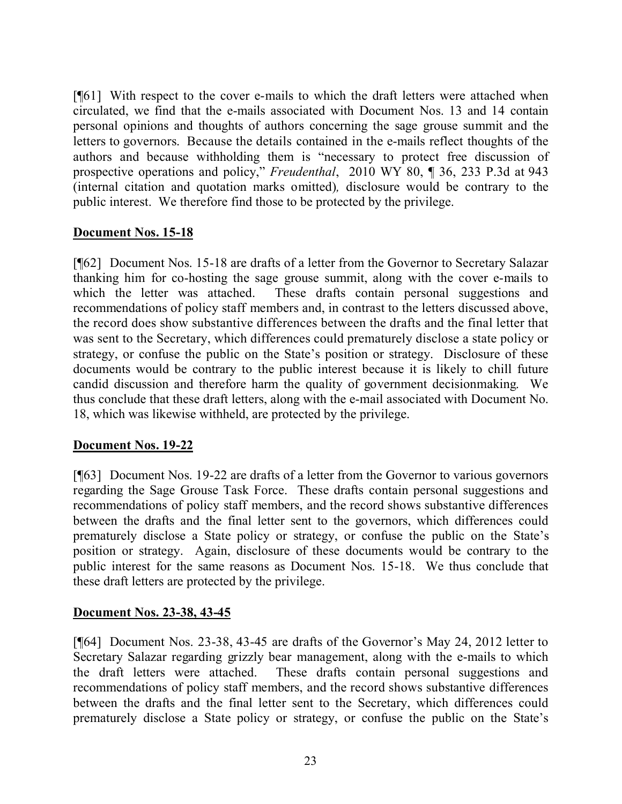[¶61] With respect to the cover e-mails to which the draft letters were attached when circulated, we find that the e-mails associated with Document Nos. 13 and 14 contain personal opinions and thoughts of authors concerning the sage grouse summit and the letters to governors. Because the details contained in the e-mails reflect thoughts of the authors and because withholding them is "necessary to protect free discussion of prospective operations and policy," *Freudenthal*, 2010 WY 80, ¶ 36, 233 P.3d at 943 (internal citation and quotation marks omitted)*,* disclosure would be contrary to the public interest. We therefore find those to be protected by the privilege.

## **Document Nos. 15-18**

[¶62] Document Nos. 15-18 are drafts of a letter from the Governor to Secretary Salazar thanking him for co-hosting the sage grouse summit, along with the cover e-mails to which the letter was attached. These drafts contain personal suggestions and recommendations of policy staff members and, in contrast to the letters discussed above, the record does show substantive differences between the drafts and the final letter that was sent to the Secretary, which differences could prematurely disclose a state policy or strategy, or confuse the public on the State's position or strategy. Disclosure of these documents would be contrary to the public interest because it is likely to chill future candid discussion and therefore harm the quality of government decisionmaking. We thus conclude that these draft letters, along with the e-mail associated with Document No. 18, which was likewise withheld, are protected by the privilege.

## **Document Nos. 19-22**

[¶63] Document Nos. 19-22 are drafts of a letter from the Governor to various governors regarding the Sage Grouse Task Force. These drafts contain personal suggestions and recommendations of policy staff members, and the record shows substantive differences between the drafts and the final letter sent to the governors, which differences could prematurely disclose a State policy or strategy, or confuse the public on the State's position or strategy. Again, disclosure of these documents would be contrary to the public interest for the same reasons as Document Nos. 15-18. We thus conclude that these draft letters are protected by the privilege.

## **Document Nos. 23-38, 43-45**

[¶64] Document Nos. 23-38, 43-45 are drafts of the Governor's May 24, 2012 letter to Secretary Salazar regarding grizzly bear management, along with the e-mails to which the draft letters were attached. These drafts contain personal suggestions and recommendations of policy staff members, and the record shows substantive differences between the drafts and the final letter sent to the Secretary, which differences could prematurely disclose a State policy or strategy, or confuse the public on the State's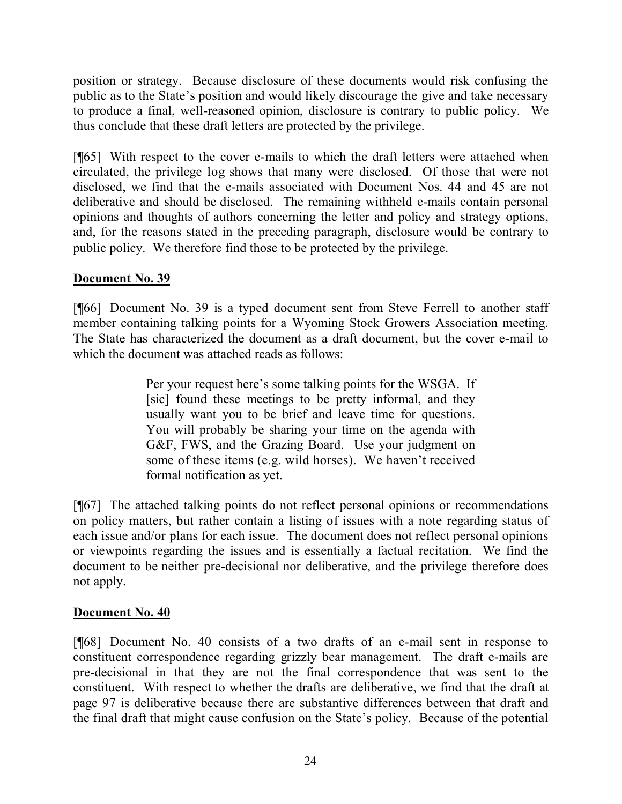position or strategy. Because disclosure of these documents would risk confusing the public as to the State's position and would likely discourage the give and take necessary to produce a final, well-reasoned opinion, disclosure is contrary to public policy. We thus conclude that these draft letters are protected by the privilege.

[¶65] With respect to the cover e-mails to which the draft letters were attached when circulated, the privilege log shows that many were disclosed. Of those that were not disclosed, we find that the e-mails associated with Document Nos. 44 and 45 are not deliberative and should be disclosed. The remaining withheld e-mails contain personal opinions and thoughts of authors concerning the letter and policy and strategy options, and, for the reasons stated in the preceding paragraph, disclosure would be contrary to public policy. We therefore find those to be protected by the privilege.

# **Document No. 39**

[¶66] Document No. 39 is a typed document sent from Steve Ferrell to another staff member containing talking points for a Wyoming Stock Growers Association meeting. The State has characterized the document as a draft document, but the cover e-mail to which the document was attached reads as follows:

> Per your request here's some talking points for the WSGA. If [sic] found these meetings to be pretty informal, and they usually want you to be brief and leave time for questions. You will probably be sharing your time on the agenda with G&F, FWS, and the Grazing Board. Use your judgment on some of these items (e.g. wild horses). We haven't received formal notification as yet.

[¶67] The attached talking points do not reflect personal opinions or recommendations on policy matters, but rather contain a listing of issues with a note regarding status of each issue and/or plans for each issue. The document does not reflect personal opinions or viewpoints regarding the issues and is essentially a factual recitation. We find the document to be neither pre-decisional nor deliberative, and the privilege therefore does not apply.

## **Document No. 40**

[¶68] Document No. 40 consists of a two drafts of an e-mail sent in response to constituent correspondence regarding grizzly bear management. The draft e-mails are pre-decisional in that they are not the final correspondence that was sent to the constituent. With respect to whether the drafts are deliberative, we find that the draft at page 97 is deliberative because there are substantive differences between that draft and the final draft that might cause confusion on the State's policy. Because of the potential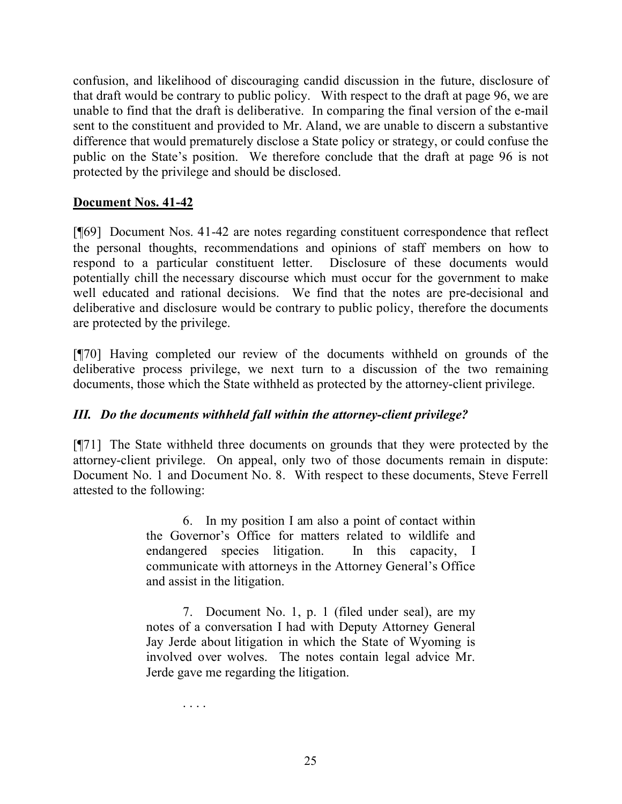confusion, and likelihood of discouraging candid discussion in the future, disclosure of that draft would be contrary to public policy. With respect to the draft at page 96, we are unable to find that the draft is deliberative. In comparing the final version of the e-mail sent to the constituent and provided to Mr. Aland, we are unable to discern a substantive difference that would prematurely disclose a State policy or strategy, or could confuse the public on the State's position. We therefore conclude that the draft at page 96 is not protected by the privilege and should be disclosed.

## **Document Nos. 41-42**

[¶69] Document Nos. 41-42 are notes regarding constituent correspondence that reflect the personal thoughts, recommendations and opinions of staff members on how to respond to a particular constituent letter. Disclosure of these documents would potentially chill the necessary discourse which must occur for the government to make well educated and rational decisions. We find that the notes are pre-decisional and deliberative and disclosure would be contrary to public policy, therefore the documents are protected by the privilege.

[¶70] Having completed our review of the documents withheld on grounds of the deliberative process privilege, we next turn to a discussion of the two remaining documents, those which the State withheld as protected by the attorney-client privilege.

# *III. Do the documents withheld fall within the attorney-client privilege?*

[¶71] The State withheld three documents on grounds that they were protected by the attorney-client privilege. On appeal, only two of those documents remain in dispute: Document No. 1 and Document No. 8. With respect to these documents, Steve Ferrell attested to the following:

> 6. In my position I am also a point of contact within the Governor's Office for matters related to wildlife and endangered species litigation. In this capacity, I communicate with attorneys in the Attorney General's Office and assist in the litigation.

> 7. Document No. 1, p. 1 (filed under seal), are my notes of a conversation I had with Deputy Attorney General Jay Jerde about litigation in which the State of Wyoming is involved over wolves. The notes contain legal advice Mr. Jerde gave me regarding the litigation.

> > . . . .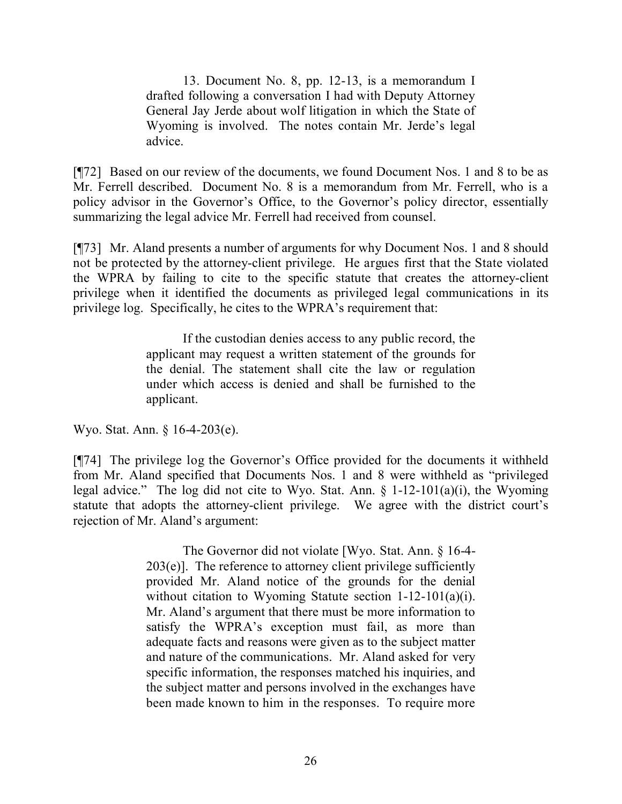13. Document No. 8, pp. 12-13, is a memorandum I drafted following a conversation I had with Deputy Attorney General Jay Jerde about wolf litigation in which the State of Wyoming is involved. The notes contain Mr. Jerde's legal advice.

[¶72] Based on our review of the documents, we found Document Nos. 1 and 8 to be as Mr. Ferrell described. Document No. 8 is a memorandum from Mr. Ferrell, who is a policy advisor in the Governor's Office, to the Governor's policy director, essentially summarizing the legal advice Mr. Ferrell had received from counsel.

[¶73] Mr. Aland presents a number of arguments for why Document Nos. 1 and 8 should not be protected by the attorney-client privilege. He argues first that the State violated the WPRA by failing to cite to the specific statute that creates the attorney-client privilege when it identified the documents as privileged legal communications in its privilege log. Specifically, he cites to the WPRA's requirement that:

> If the custodian denies access to any public record, the applicant may request a written statement of the grounds for the denial. The statement shall cite the law or regulation under which access is denied and shall be furnished to the applicant.

Wyo. Stat. Ann. § 16-4-203(e).

[¶74] The privilege log the Governor's Office provided for the documents it withheld from Mr. Aland specified that Documents Nos. 1 and 8 were withheld as "privileged legal advice." The log did not cite to Wyo. Stat. Ann. § 1-12-101(a)(i), the Wyoming statute that adopts the attorney-client privilege. We agree with the district court's rejection of Mr. Aland's argument:

> The Governor did not violate [Wyo. Stat. Ann. § 16-4- 203(e)]. The reference to attorney client privilege sufficiently provided Mr. Aland notice of the grounds for the denial without citation to Wyoming Statute section 1-12-101(a)(i). Mr. Aland's argument that there must be more information to satisfy the WPRA's exception must fail, as more than adequate facts and reasons were given as to the subject matter and nature of the communications. Mr. Aland asked for very specific information, the responses matched his inquiries, and the subject matter and persons involved in the exchanges have been made known to him in the responses. To require more